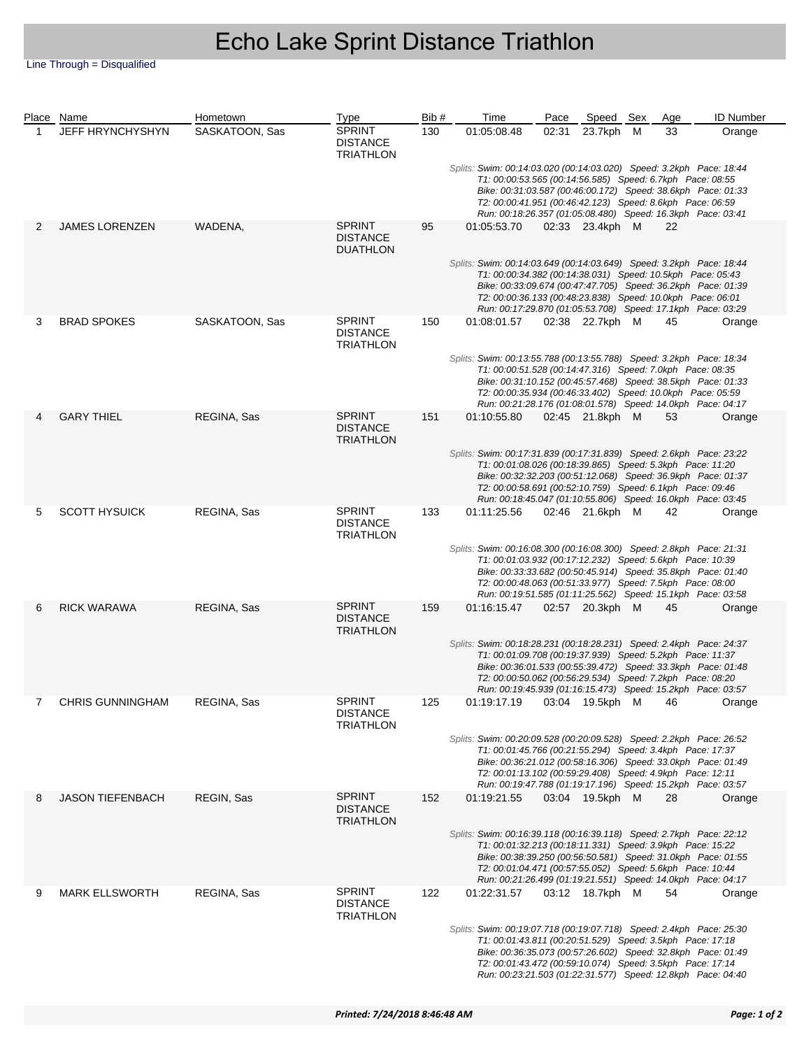## Echo Lake Sprint Distance Triathlon

Line Through = Disqualified

|   | Place Name              | Hometown       | <b>Type</b>                                          | Bib# | Time<br>Pace                                                                                                                                                                                                                                                                                                                   | Speed Sex       |                                                                                                                                                                                                                                                       | Age | <b>ID Number</b> |  |  |
|---|-------------------------|----------------|------------------------------------------------------|------|--------------------------------------------------------------------------------------------------------------------------------------------------------------------------------------------------------------------------------------------------------------------------------------------------------------------------------|-----------------|-------------------------------------------------------------------------------------------------------------------------------------------------------------------------------------------------------------------------------------------------------|-----|------------------|--|--|
| 1 | JEFF HRYNCHYSHYN        | SASKATOON, Sas | <b>SPRINT</b><br><b>DISTANCE</b><br><b>TRIATHLON</b> | 130  | 01:05:08.48<br>02:31                                                                                                                                                                                                                                                                                                           | 23.7kph M       |                                                                                                                                                                                                                                                       | 33  | Orange           |  |  |
|   |                         |                |                                                      |      | Splits: Swim: 00:14:03.020 (00:14:03.020) Speed: 3.2kph Pace: 18:44                                                                                                                                                                                                                                                            |                 | T1: 00:00:53.565 (00:14:56.585) Speed: 6.7kph Pace: 08:55<br>Bike: 00:31:03.587 (00:46:00.172) Speed: 38.6kph Pace: 01:33<br>T2: 00:00:41.951 (00:46:42.123) Speed: 8.6kph Pace: 06:59<br>Run: 00:18:26.357 (01:05:08.480) Speed: 16.3kph Pace: 03:41 |     |                  |  |  |
| 2 | <b>JAMES LORENZEN</b>   | WADENA,        | <b>SPRINT</b><br><b>DISTANCE</b><br><b>DUATHLON</b>  | 95   | 01:05:53.70                                                                                                                                                                                                                                                                                                                    | 02:33 23.4kph M |                                                                                                                                                                                                                                                       | 22  |                  |  |  |
|   |                         |                |                                                      |      | Splits: Swim: 00:14:03.649 (00:14:03.649) Speed: 3.2kph Pace: 18:44<br>T1: 00:00:34.382 (00:14:38.031) Speed: 10.5kph Pace: 05:43<br>Bike: 00:33:09.674 (00:47:47.705) Speed: 36.2kph Pace: 01:39<br>T2: 00:00:36.133 (00:48:23.838) Speed: 10.0kph Pace: 06:01<br>Run: 00:17:29.870 (01:05:53.708) Speed: 17.1kph Pace: 03:29 |                 |                                                                                                                                                                                                                                                       |     |                  |  |  |
| 3 | <b>BRAD SPOKES</b>      | SASKATOON, Sas | <b>SPRINT</b><br><b>DISTANCE</b><br><b>TRIATHLON</b> | 150  | 01:08:01.57                                                                                                                                                                                                                                                                                                                    | 02:38 22.7kph M |                                                                                                                                                                                                                                                       | 45  | Orange           |  |  |
|   |                         |                |                                                      |      | Splits: Swim: 00:13:55.788 (00:13:55.788) Speed: 3.2kph Pace: 18:34<br>T1: 00:00:51.528 (00:14:47.316) Speed: 7.0kph Pace: 08:35<br>Bike: 00:31:10.152 (00:45:57.468) Speed: 38.5kph Pace: 01:33<br>T2: 00:00:35.934 (00:46:33.402) Speed: 10.0kph Pace: 05:59<br>Run: 00:21:28.176 (01:08:01.578) Speed: 14.0kph Pace: 04:17  |                 |                                                                                                                                                                                                                                                       |     |                  |  |  |
|   | <b>GARY THIEL</b>       | REGINA, Sas    | <b>SPRINT</b><br><b>DISTANCE</b><br><b>TRIATHLON</b> | 151  | 01:10:55.80                                                                                                                                                                                                                                                                                                                    | 02:45 21.8kph M |                                                                                                                                                                                                                                                       | 53  | Orange           |  |  |
|   |                         |                |                                                      |      | Splits: Swim: 00:17:31.839 (00:17:31.839) Speed: 2.6kph Pace: 23:22<br>T1: 00:01:08.026 (00:18:39.865) Speed: 5.3kph Pace: 11:20<br>Bike: 00:32:32.203 (00:51:12.068) Speed: 36.9kph Pace: 01:37<br>T2: 00:00:58.691 (00:52:10.759) Speed: 6.1kph Pace: 09:46<br>Run: 00:18:45.047 (01:10:55.806) Speed: 16.0kph Pace: 03:45   |                 |                                                                                                                                                                                                                                                       |     |                  |  |  |
| 5 | <b>SCOTT HYSUICK</b>    | REGINA, Sas    | <b>SPRINT</b><br><b>DISTANCE</b><br><b>TRIATHLON</b> | 133  | 01:11:25.56                                                                                                                                                                                                                                                                                                                    | 02:46 21.6kph M |                                                                                                                                                                                                                                                       | 42  | Orange           |  |  |
|   |                         |                |                                                      |      | Splits: Swim: 00:16:08.300 (00:16:08.300) Speed: 2.8kph Pace: 21:31<br>T1: 00:01:03.932 (00:17:12.232) Speed: 5.6kph Pace: 10:39<br>Bike: 00:33:33.682 (00:50:45.914) Speed: 35.8kph Pace: 01:40<br>T2: 00:00:48.063 (00:51:33.977) Speed: 7.5kph Pace: 08:00<br>Run: 00:19:51.585 (01:11:25.562) Speed: 15.1kph Pace: 03:58   |                 |                                                                                                                                                                                                                                                       |     |                  |  |  |
| 6 | <b>RICK WARAWA</b>      | REGINA, Sas    | <b>SPRINT</b><br><b>DISTANCE</b><br><b>TRIATHLON</b> | 159  | 01:16:15.47                                                                                                                                                                                                                                                                                                                    | 02:57 20.3kph M |                                                                                                                                                                                                                                                       | 45  | Orange           |  |  |
|   |                         |                |                                                      |      | Splits: Swim: 00:18:28.231 (00:18:28.231) Speed: 2.4kph Pace: 24:37<br>T1: 00:01:09.708 (00:19:37.939) Speed: 5.2kph Pace: 11:37<br>Bike: 00:36:01.533 (00:55:39.472) Speed: 33.3kph Pace: 01:48<br>T2: 00:00:50.062 (00:56:29.534) Speed: 7.2kph Pace: 08:20<br>Run: 00:19:45.939 (01:16:15.473) Speed: 15.2kph Pace: 03:57   |                 |                                                                                                                                                                                                                                                       |     |                  |  |  |
|   | CHRIS GUNNINGHAM        | REGINA, Sas    | <b>SPRINT</b><br><b>DISTANCE</b><br><b>TRIATHLON</b> | 125  | 01:19:17.19  03:04  19.5kph  M  46  Orange                                                                                                                                                                                                                                                                                     |                 |                                                                                                                                                                                                                                                       |     |                  |  |  |
|   |                         |                |                                                      |      | Splits: Swim: 00:20:09.528 (00:20:09.528) Speed: 2.2kph Pace: 26:52<br>T1: 00:01:45.766 (00:21:55.294) Speed: 3.4kph Pace: 17:37<br>Bike: 00:36:21.012 (00:58:16.306) Speed: 33.0kph Pace: 01:49<br>T2: 00:01:13.102 (00:59:29.408) Speed: 4.9kph Pace: 12:11<br>Run: 00:19:47.788 (01:19:17.196) Speed: 15.2kph Pace: 03:57   |                 |                                                                                                                                                                                                                                                       |     |                  |  |  |
| 8 | <b>JASON TIEFENBACH</b> | REGIN, Sas     | <b>SPRINT</b><br><b>DISTANCE</b><br><b>TRIATHLON</b> | 152  | 01:19:21.55                                                                                                                                                                                                                                                                                                                    | 03:04 19.5kph M |                                                                                                                                                                                                                                                       | 28  | Orange           |  |  |
|   |                         |                |                                                      |      | Splits: Swim: 00:16:39.118 (00:16:39.118) Speed: 2.7kph Pace: 22:12<br>T1: 00:01:32.213 (00:18:11.331) Speed: 3.9kph Pace: 15:22<br>Bike: 00:38:39.250 (00:56:50.581) Speed: 31.0kph Pace: 01:55<br>T2: 00:01:04.471 (00:57:55.052) Speed: 5.6kph Pace: 10:44<br>Run: 00:21:26.499 (01:19:21.551) Speed: 14.0kph Pace: 04:17   |                 |                                                                                                                                                                                                                                                       |     |                  |  |  |
| 9 | <b>MARK ELLSWORTH</b>   | REGINA, Sas    | <b>SPRINT</b><br><b>DISTANCE</b><br><b>TRIATHLON</b> | 122  | 01:22:31.57                                                                                                                                                                                                                                                                                                                    | 03:12 18.7kph M |                                                                                                                                                                                                                                                       | 54  | Orange           |  |  |
|   |                         |                |                                                      |      | Splits: Swim: 00:19:07.718 (00:19:07.718) Speed: 2.4kph Pace: 25:30<br>T1: 00:01:43.811 (00:20:51.529) Speed: 3.5kph Pace: 17:18<br>Bike: 00:36:35.073 (00:57:26.602) Speed: 32.8kph Pace: 01:49<br>T2: 00:01:43.472 (00:59:10.074) Speed: 3.5kph Pace: 17:14<br>Run: 00:23:21.503 (01:22:31.577) Speed: 12.8kph Pace: 04:40   |                 |                                                                                                                                                                                                                                                       |     |                  |  |  |